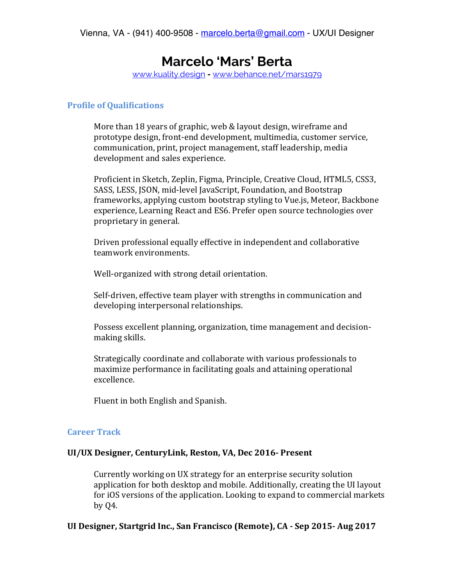# **Marcelo 'Mars' Berta**

www.kuality.design **-** www.behance.net/mars1979

## **Profile of Qualifications**

 More than 18 years of graphic, web & layout design, wireframe and prototype design, front-end development, multimedia, customer service, communication, print, project management, staff leadership, media development and sales experience.

 Proficient in Sketch, Zeplin, Figma, Principle, Creative Cloud, HTML5, CSS3, SASS, LESS, JSON, mid-level JavaScript, Foundation, and Bootstrap frameworks, applying custom bootstrap styling to Vue.js, Meteor, Backbone experience, Learning React and ES6. Prefer open source technologies over proprietary in general.

 Driven professional equally effective in independent and collaborative teamwork environments.

Well-organized with strong detail orientation.

 Self-driven, effective team player with strengths in communication and developing interpersonal relationships.

 Possess excellent planning, organization, time management and decisionmaking skills.

 Strategically coordinate and collaborate with various professionals to maximize performance in facilitating goals and attaining operational excellence.

Fluent in both English and Spanish.

#### **Career Track**

#### **UI/UX Designer, CenturyLink, Reston, VA, Dec 2016- Present**

 Currently working on UX strategy for an enterprise security solution application for both desktop and mobile. Additionally, creating the UI layout for iOS versions of the application. Looking to expand to commercial markets by Q4.

## **UI Designer, Startgrid Inc., San Francisco (Remote), CA - Sep 2015- Aug 2017**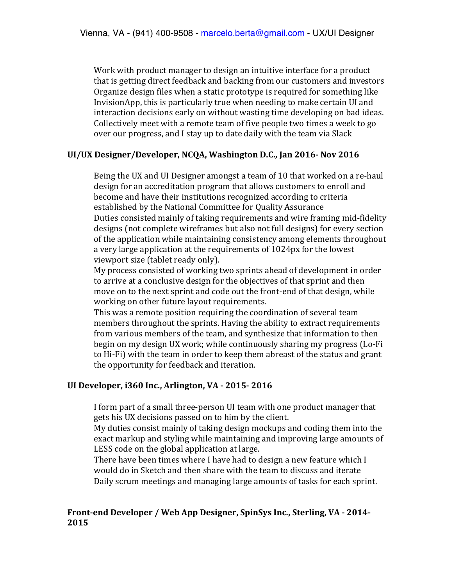Work with product manager to design an intuitive interface for a product that is getting direct feedback and backing from our customers and investors Organize design files when a static prototype is required for something like InvisionApp, this is particularly true when needing to make certain UI and interaction decisions early on without wasting time developing on bad ideas. Collectively meet with a remote team of five people two times a week to go over our progress, and I stay up to date daily with the team via Slack

## **UI/UX Designer/Developer, NCQA, Washington D.C., Jan 2016- Nov 2016**

 Being the UX and UI Designer amongst a team of 10 that worked on a re-haul design for an accreditation program that allows customers to enroll and become and have their institutions recognized according to criteria established by the National Committee for Quality Assurance Duties consisted mainly of taking requirements and wire framing mid-fidelity designs (not complete wireframes but also not full designs) for every section of the application while maintaining consistency among elements throughout a very large application at the requirements of 1024px for the lowest viewport size (tablet ready only).

 My process consisted of working two sprints ahead of development in order to arrive at a conclusive design for the objectives of that sprint and then move on to the next sprint and code out the front-end of that design, while working on other future layout requirements.

 This was a remote position requiring the coordination of several team members throughout the sprints. Having the ability to extract requirements from various members of the team, and synthesize that information to then begin on my design UX work; while continuously sharing my progress (Lo-Fi to Hi-Fi) with the team in order to keep them abreast of the status and grant the opportunity for feedback and iteration.

## **UI Developer, i360 Inc., Arlington, VA - 2015- 2016**

 I form part of a small three-person UI team with one product manager that gets his UX decisions passed on to him by the client.

 My duties consist mainly of taking design mockups and coding them into the exact markup and styling while maintaining and improving large amounts of LESS code on the global application at large.

 There have been times where I have had to design a new feature which I would do in Sketch and then share with the team to discuss and iterate Daily scrum meetings and managing large amounts of tasks for each sprint.

## **Front-end Developer / Web App Designer, SpinSys Inc., Sterling, VA - 2014- 2015**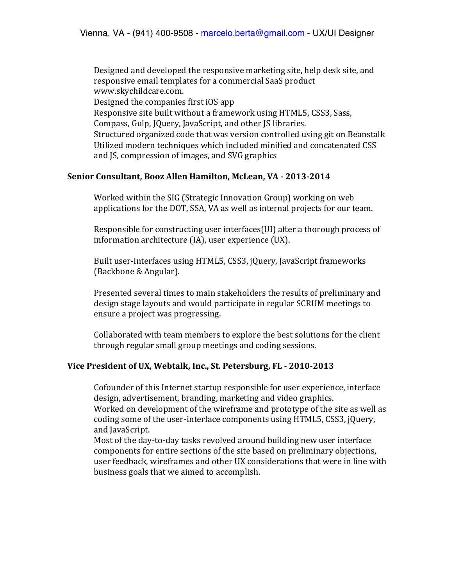Designed and developed the responsive marketing site, help desk site, and responsive email templates for a commercial SaaS product www.skychildcare.com. Designed the companies first iOS app Responsive site built without a framework using HTML5, CSS3, Sass, Compass, Gulp, JQuery, JavaScript, and other JS libraries. Structured organized code that was version controlled using git on Beanstalk Utilized modern techniques which included minified and concatenated CSS and JS, compression of images, and SVG graphics

## **Senior Consultant, Booz Allen Hamilton, McLean, VA - 2013-2014**

 Worked within the SIG (Strategic Innovation Group) working on web applications for the DOT, SSA, VA as well as internal projects for our team.

 Responsible for constructing user interfaces(UI) after a thorough process of information architecture (IA), user experience (UX).

 Built user-interfaces using HTML5, CSS3, jQuery, JavaScript frameworks (Backbone & Angular).

 Presented several times to main stakeholders the results of preliminary and design stage layouts and would participate in regular SCRUM meetings to ensure a project was progressing.

 Collaborated with team members to explore the best solutions for the client through regular small group meetings and coding sessions.

## **Vice President of UX, Webtalk, Inc., St. Petersburg, FL - 2010-2013**

 Cofounder of this Internet startup responsible for user experience, interface design, advertisement, branding, marketing and video graphics. Worked on development of the wireframe and prototype of the site as well as coding some of the user-interface components using HTML5, CSS3, jQuery, and JavaScript.

 Most of the day-to-day tasks revolved around building new user interface components for entire sections of the site based on preliminary objections, user feedback, wireframes and other UX considerations that were in line with business goals that we aimed to accomplish.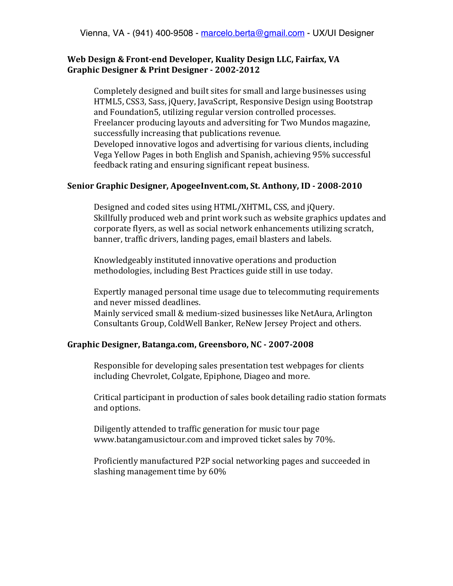## **Web Design & Front-end Developer, Kuality Design LLC, Fairfax, VA Graphic Designer & Print Designer - 2002-2012**

 Completely designed and built sites for small and large businesses using HTML5, CSS3, Sass, jQuery, JavaScript, Responsive Design using Bootstrap and Foundation5, utilizing regular version controlled processes. Freelancer producing layouts and adversiting for Two Mundos magazine, successfully increasing that publications revenue. Developed innovative logos and advertising for various clients, including Vega Yellow Pages in both English and Spanish, achieving 95% successful feedback rating and ensuring significant repeat business.

## **Senior Graphic Designer, ApogeeInvent.com, St. Anthony, ID - 2008-2010**

 Designed and coded sites using HTML/XHTML, CSS, and jQuery. Skillfully produced web and print work such as website graphics updates and corporate flyers, as well as social network enhancements utilizing scratch, banner, traffic drivers, landing pages, email blasters and labels.

 Knowledgeably instituted innovative operations and production methodologies, including Best Practices guide still in use today.

 Expertly managed personal time usage due to telecommuting requirements and never missed deadlines.

 Mainly serviced small & medium-sized businesses like NetAura, Arlington Consultants Group, ColdWell Banker, ReNew Jersey Project and others.

## **Graphic Designer, Batanga.com, Greensboro, NC - 2007-2008**

 Responsible for developing sales presentation test webpages for clients including Chevrolet, Colgate, Epiphone, Diageo and more.

 Critical participant in production of sales book detailing radio station formats and options.

 Diligently attended to traffic generation for music tour page www.batangamusictour.com and improved ticket sales by 70%.

 Proficiently manufactured P2P social networking pages and succeeded in slashing management time by 60%